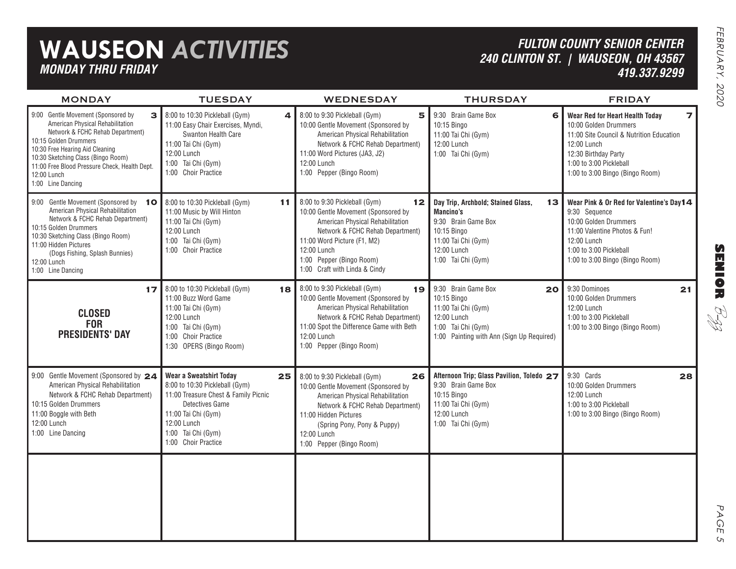## **WAUSEON** *ACTIVITIES MONDAY THRU FRIDAY*

### *FULTON COUNTY SENIOR CENTER 240 CLINTON ST. | WAUSEON, OH 43567 419.337.9299*

| <b>MONDAY</b>                                                                                                                                                                                                                                                                                          | <b>TUESDAY</b>                                                                                                                                                                                          | <b>WEDNESDAY</b>                                                                                                                                                                                                                                                                 | <b>THURSDAY</b>                                                                                                                                         | <b>FRIDAY</b>                                                                                                                                                                                                                         |
|--------------------------------------------------------------------------------------------------------------------------------------------------------------------------------------------------------------------------------------------------------------------------------------------------------|---------------------------------------------------------------------------------------------------------------------------------------------------------------------------------------------------------|----------------------------------------------------------------------------------------------------------------------------------------------------------------------------------------------------------------------------------------------------------------------------------|---------------------------------------------------------------------------------------------------------------------------------------------------------|---------------------------------------------------------------------------------------------------------------------------------------------------------------------------------------------------------------------------------------|
| 9:00 Gentle Movement (Sponsored by<br>3<br>American Physical Rehabilitation<br>Network & FCHC Rehab Department)<br>10:15 Golden Drummers<br>10:30 Free Hearing Aid Cleaning<br>10:30 Sketching Class (Bingo Room)<br>11:00 Free Blood Pressure Check, Health Dept.<br>12:00 Lunch<br>1:00 Line Dancing | 8:00 to 10:30 Pickleball (Gym)<br>11:00 Easy Chair Exercises, Myndi,<br><b>Swanton Health Care</b><br>11:00 Tai Chi (Gym)<br>12:00 Lunch<br>1:00 Tai Chi (Gym)<br>1:00 Choir Practice                   | 8:00 to 9:30 Pickleball (Gym)<br>5<br>4<br>10:00 Gentle Movement (Sponsored by<br>American Physical Rehabilitation<br>Network & FCHC Rehab Department)<br>11:00 Word Pictures (JA3, J2)<br>12:00 Lunch<br>1:00 Pepper (Bingo Room)                                               | 9:30 Brain Game Box<br>6<br>10:15 Bingo<br>11:00 Tai Chi (Gym)<br>12:00 Lunch<br>1:00 Tai Chi (Gym)                                                     | Wear Red for Heart Health Today<br>$\overline{\phantom{a}}$<br>10:00 Golden Drummers<br>11:00 Site Council & Nutrition Education<br>12:00 Lunch<br>12:30 Birthday Party<br>1:00 to 3:00 Pickleball<br>1:00 to 3:00 Bingo (Bingo Room) |
| 9:00 Gentle Movement (Sponsored by<br>10<br>American Physical Rehabilitation<br>Network & FCHC Rehab Department)<br>10:15 Golden Drummers<br>10:30 Sketching Class (Bingo Room)<br>11:00 Hidden Pictures<br>(Dogs Fishing, Splash Bunnies)<br>12:00 Lunch<br>1:00 Line Dancing                         | 8:00 to 10:30 Pickleball (Gym)<br>11:00 Music by Will Hinton<br>11:00 Tai Chi (Gym)<br>12:00 Lunch<br>1:00 Tai Chi (Gym)<br>1:00 Choir Practice                                                         | 8:00 to 9:30 Pickleball (Gym)<br>11<br>12 <sub>2</sub><br>10:00 Gentle Movement (Sponsored by<br>American Physical Rehabilitation<br>Network & FCHC Rehab Department)<br>11:00 Word Picture (F1, M2)<br>12:00 Lunch<br>1:00 Pepper (Bingo Room)<br>1:00 Craft with Linda & Cindy | Day Trip, Archbold; Stained Glass,<br>13<br>Mancino's<br>9:30 Brain Game Box<br>10:15 Bingo<br>11:00 Tai Chi (Gym)<br>12:00 Lunch<br>1:00 Tai Chi (Gym) | Wear Pink & Or Red for Valentine's Day14<br>9:30 Sequence<br>10:00 Golden Drummers<br>11:00 Valentine Photos & Fun!<br>12:00 Lunch<br>1:00 to 3:00 Pickleball<br>1:00 to 3:00 Bingo (Bingo Room)                                      |
| 17<br><b>CLOSED</b><br><b>FOR</b><br><b>PRESIDENTS' DAY</b>                                                                                                                                                                                                                                            | 8:00 to 10:30 Pickleball (Gym)<br>11:00 Buzz Word Game<br>11:00 Tai Chi (Gym)<br>12:00 Lunch<br>1:00 Tai Chi (Gym)<br>1:00 Choir Practice<br>1:30 OPERS (Bingo Room)                                    | 8:00 to 9:30 Pickleball (Gym)<br>18<br>19<br>10:00 Gentle Movement (Sponsored by<br>American Physical Rehabilitation<br>Network & FCHC Rehab Department)<br>11:00 Spot the Difference Game with Beth<br>12:00 Lunch<br>1:00 Pepper (Bingo Room)                                  | 9:30 Brain Game Box<br>20<br>10:15 Bingo<br>11:00 Tai Chi (Gym)<br>12:00 Lunch<br>1:00 Tai Chi (Gym)<br>1:00 Painting with Ann (Sign Up Required)       | 9:30 Dominoes<br>21<br>10:00 Golden Drummers<br>12:00 Lunch<br>1:00 to 3:00 Pickleball<br>1:00 to 3:00 Bingo (Bingo Room)                                                                                                             |
| 9:00 Gentle Movement (Sponsored by 24<br>American Physical Rehabilitation<br>Network & FCHC Rehab Department)<br>10:15 Golden Drummers<br>11:00 Boggle with Beth<br>12:00 Lunch<br>1:00 Line Dancing                                                                                                   | Wear a Sweatshirt Today<br>8:00 to 10:30 Pickleball (Gym)<br>11:00 Treasure Chest & Family Picnic<br>Detectives Game<br>11:00 Tai Chi (Gym)<br>12:00 Lunch<br>1:00 Tai Chi (Gym)<br>1:00 Choir Practice | 25<br>8:00 to 9:30 Pickleball (Gym)<br>26<br>10:00 Gentle Movement (Sponsored by<br>American Physical Rehabilitation<br>Network & FCHC Rehab Department)<br>11:00 Hidden Pictures<br>(Spring Pony, Pony & Puppy)<br>12:00 Lunch<br>1:00 Pepper (Bingo Room)                      | Afternoon Trip; Glass Pavilion, Toledo 27<br>9:30 Brain Game Box<br>10:15 Bingo<br>11:00 Tai Chi (Gym)<br>12:00 Lunch<br>1:00 Tai Chi (Gym)             | 9:30 Cards<br>28<br>10:00 Golden Drummers<br>12:00 Lunch<br>1:00 to 3:00 Pickleball<br>1:00 to 3:00 Bingo (Bingo Room)                                                                                                                |
|                                                                                                                                                                                                                                                                                                        |                                                                                                                                                                                                         |                                                                                                                                                                                                                                                                                  |                                                                                                                                                         |                                                                                                                                                                                                                                       |

**SENIOR** B-zz

> PAGE PAGE 5  $\mathsf{C}_{\mathsf{L}}$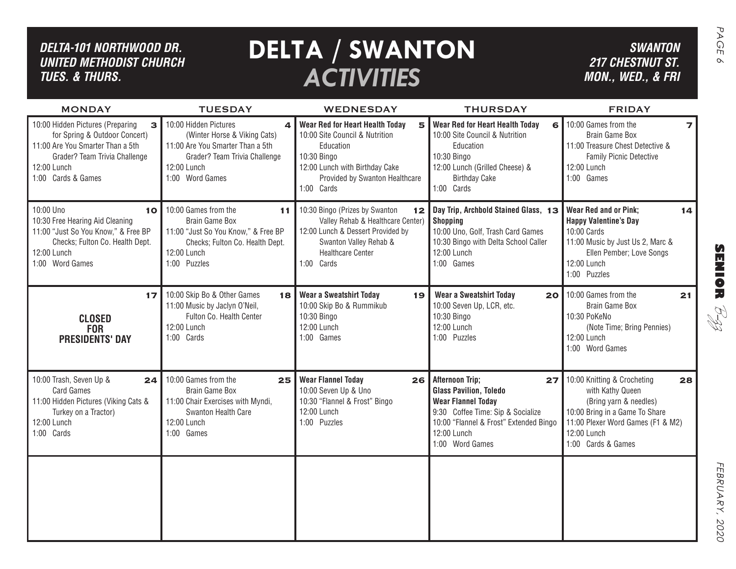| DELTA-101 NORTHWOOD DR.<br><b>UNITED METHODIST CHURCH</b><br><b>TUES. &amp; THURS.</b>                                                                         |                                                                                                                                                              | <b>DELTA / SWANTON</b><br><b>ACTIVITIES</b>                                                                                                                                                 |                                                                                                                                                                                                             | <b>SWANTON</b><br><b>217 CHESTNUT ST.</b><br>MON., WED., & FRI                                                                                                                              | PAGE<br>$\infty$                      |
|----------------------------------------------------------------------------------------------------------------------------------------------------------------|--------------------------------------------------------------------------------------------------------------------------------------------------------------|---------------------------------------------------------------------------------------------------------------------------------------------------------------------------------------------|-------------------------------------------------------------------------------------------------------------------------------------------------------------------------------------------------------------|---------------------------------------------------------------------------------------------------------------------------------------------------------------------------------------------|---------------------------------------|
| <b>MONDAY</b><br>10:00 Hidden Pictures (Preparing                                                                                                              | <b>TUESDAY</b><br>10:00 Hidden Pictures                                                                                                                      | <b>WEDNESDAY</b>                                                                                                                                                                            | <b>THURSDAY</b>                                                                                                                                                                                             | <b>FRIDAY</b><br>10:00 Games from the                                                                                                                                                       |                                       |
| 3<br>for Spring & Outdoor Concert)<br>11:00 Are You Smarter Than a 5th<br>Grader? Team Trivia Challenge<br>12:00 Lunch<br>1:00 Cards & Games                   | 4<br>(Winter Horse & Viking Cats)<br>11:00 Are You Smarter Than a 5th<br>Grader? Team Trivia Challenge<br>12:00 Lunch<br>1:00 Word Games                     | <b>Wear Red for Heart Health Today</b><br>5<br>10:00 Site Council & Nutrition<br>Education<br>10:30 Bingo<br>12:00 Lunch with Birthday Cake<br>Provided by Swanton Healthcare<br>1:00 Cards | Wear Red for Heart Health Today<br>6<br>10:00 Site Council & Nutrition<br>Education<br>10:30 Bingo<br>12:00 Lunch (Grilled Cheese) &<br><b>Birthday Cake</b><br>1:00 Cards                                  | Brain Game Box<br>11:00 Treasure Chest Detective &<br>Family Picnic Detective<br>12:00 Lunch<br>1:00 Games                                                                                  |                                       |
| 10:00 Uno<br>10<br>10:30 Free Hearing Aid Cleaning<br>11:00 "Just So You Know," & Free BP<br>Checks; Fulton Co. Health Dept.<br>12:00 Lunch<br>1:00 Word Games | 10:00 Games from the<br>11<br><b>Brain Game Box</b><br>11:00 "Just So You Know," & Free BP<br>Checks; Fulton Co. Health Dept.<br>12:00 Lunch<br>1:00 Puzzles | 10:30 Bingo (Prizes by Swanton<br>12 <br>Valley Rehab & Healthcare Center)<br>12:00 Lunch & Dessert Provided by<br>Swanton Valley Rehab &<br><b>Healthcare Center</b><br>1:00 Cards         | Day Trip, Archbold Stained Glass, 13<br><b>Shopping</b><br>10:00 Uno, Golf, Trash Card Games<br>10:30 Bingo with Delta School Caller<br>12:00 Lunch<br>1:00 Games                                           | <b>Wear Red and or Pink;</b><br>14<br><b>Happy Valentine's Day</b><br>10:00 Cards<br>11:00 Music by Just Us 2, Marc &<br>Ellen Pember; Love Songs<br>12:00 Lunch<br>1:00 Puzzles            | $\boldsymbol{\Omega}$<br><b>MNIOR</b> |
| 17<br><b>CLOSED</b><br><b>FOR</b><br><b>PRESIDENTS' DAY</b>                                                                                                    | 10:00 Skip Bo & Other Games<br>18<br>11:00 Music by Jaclyn O'Neil,<br>Fulton Co. Health Center<br>12:00 Lunch<br>1:00 Cards                                  | <b>Wear a Sweatshirt Today</b><br>19<br>10:00 Skip Bo & Rummikub<br>10:30 Bingo<br>12:00 Lunch<br>1:00 Games                                                                                | <b>Wear a Sweatshirt Today</b><br>20<br>10:00 Seven Up, LCR, etc.<br>10:30 Bingo<br>12:00 Lunch<br>1:00 Puzzles                                                                                             | 10:00 Games from the<br>21<br>Brain Game Box<br>10:30 PoKeNo<br>(Note Time; Bring Pennies)<br>12:00 Lunch<br>1:00 Word Games                                                                | RI<br>R                               |
| 10:00 Trash, Seven Up &<br>24<br><b>Card Games</b><br>11:00 Hidden Pictures (Viking Cats &<br>Turkey on a Tractor)<br>12:00 Lunch<br>1:00 Cards                | 10:00 Games from the<br>25<br>Brain Game Box<br>11:00 Chair Exercises with Myndi,<br>Swanton Health Care<br>12:00 Lunch<br>1:00 Games                        | <b>Wear Flannel Today</b><br>26<br>10:00 Seven Up & Uno<br>10:30 "Flannel & Frost" Bingo<br>12:00 Lunch<br>1:00 Puzzles                                                                     | <b>Afternoon Trip;</b><br>27<br><b>Glass Pavilion, Toledo</b><br><b>Wear Flannel Today</b><br>9:30 Coffee Time: Sip & Socialize<br>10:00 "Flannel & Frost" Extended Bingo<br>12:00 Lunch<br>1:00 Word Games | 10:00 Knitting & Crocheting<br>28<br>with Kathy Queen<br>(Bring yarn & needles)<br>10:00 Bring in a Game To Share<br>11:00 Plexer Word Games (F1 & M2)<br>12:00 Lunch<br>1:00 Cards & Games |                                       |
|                                                                                                                                                                |                                                                                                                                                              |                                                                                                                                                                                             |                                                                                                                                                                                                             |                                                                                                                                                                                             | <b>FEBRUARY</b> ,<br>2020             |